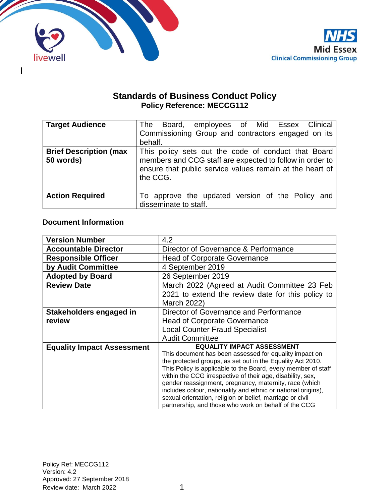

 $\mathsf{l}$ 



# **Standards of Business Conduct Policy Policy Reference: MECCG112**

| <b>Target Audience</b>                     | Board, employees of Mid Essex Clinical<br>The<br>Commissioning Group and contractors engaged on its<br>behalf.                                                                          |  |  |
|--------------------------------------------|-----------------------------------------------------------------------------------------------------------------------------------------------------------------------------------------|--|--|
| <b>Brief Description (max</b><br>50 words) | This policy sets out the code of conduct that Board<br>members and CCG staff are expected to follow in order to<br>ensure that public service values remain at the heart of<br>the CCG. |  |  |
| <b>Action Required</b>                     | To approve the updated version of the Policy and<br>disseminate to staff.                                                                                                               |  |  |

# **Document Information**

| <b>Version Number</b>             | 4.2                                                                                                                  |  |  |
|-----------------------------------|----------------------------------------------------------------------------------------------------------------------|--|--|
| <b>Accountable Director</b>       | Director of Governance & Performance                                                                                 |  |  |
| <b>Responsible Officer</b>        | <b>Head of Corporate Governance</b>                                                                                  |  |  |
| by Audit Committee                | 4 September 2019                                                                                                     |  |  |
| <b>Adopted by Board</b>           | 26 September 2019                                                                                                    |  |  |
| <b>Review Date</b>                | March 2022 (Agreed at Audit Committee 23 Feb                                                                         |  |  |
|                                   | 2021 to extend the review date for this policy to                                                                    |  |  |
|                                   | March 2022)                                                                                                          |  |  |
| Stakeholders engaged in           | Director of Governance and Performance                                                                               |  |  |
| review                            | <b>Head of Corporate Governance</b>                                                                                  |  |  |
|                                   | <b>Local Counter Fraud Specialist</b>                                                                                |  |  |
|                                   | <b>Audit Committee</b>                                                                                               |  |  |
| <b>Equality Impact Assessment</b> | <b>EQUALITY IMPACT ASSESSMENT</b>                                                                                    |  |  |
|                                   | This document has been assessed for equality impact on                                                               |  |  |
|                                   | the protected groups, as set out in the Equality Act 2010.                                                           |  |  |
|                                   | This Policy is applicable to the Board, every member of staff                                                        |  |  |
|                                   | within the CCG irrespective of their age, disability, sex,<br>gender reassignment, pregnancy, maternity, race (which |  |  |
|                                   | includes colour, nationality and ethnic or national origins),                                                        |  |  |
|                                   | sexual orientation, religion or belief, marriage or civil                                                            |  |  |
|                                   | partnership, and those who work on behalf of the CCG                                                                 |  |  |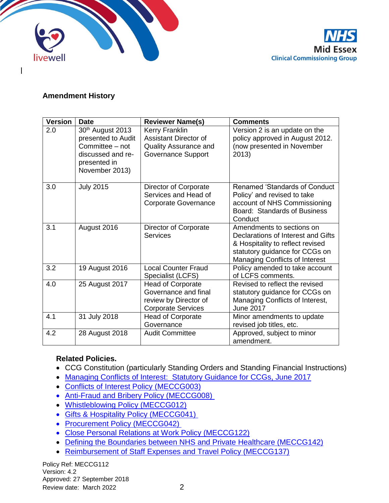



## **Amendment History**

| <b>Version</b> | <b>Date</b>                                                                                                      | <b>Reviewer Name(s)</b>                                                                                     | <b>Comments</b>                                                                                                                                                         |
|----------------|------------------------------------------------------------------------------------------------------------------|-------------------------------------------------------------------------------------------------------------|-------------------------------------------------------------------------------------------------------------------------------------------------------------------------|
| 2.0            | 30th August 2013<br>presented to Audit<br>Committee - not<br>discussed and re-<br>presented in<br>November 2013) | Kerry Franklin<br><b>Assistant Director of</b><br><b>Quality Assurance and</b><br><b>Governance Support</b> | Version 2 is an update on the<br>policy approved in August 2012.<br>(now presented in November<br>2013)                                                                 |
| 3.0            | <b>July 2015</b>                                                                                                 | Director of Corporate<br>Services and Head of<br><b>Corporate Governance</b>                                | <b>Renamed 'Standards of Conduct</b><br>Policy' and revised to take<br>account of NHS Commissioning<br>Board: Standards of Business<br>Conduct                          |
| 3.1            | August 2016                                                                                                      | Director of Corporate<br><b>Services</b>                                                                    | Amendments to sections on<br>Declarations of Interest and Gifts<br>& Hospitality to reflect revised<br>statutory guidance for CCGs on<br>Managing Conflicts of Interest |
| 3.2            | 19 August 2016                                                                                                   | <b>Local Counter Fraud</b><br>Specialist (LCFS)                                                             | Policy amended to take account<br>of LCFS comments.                                                                                                                     |
| 4.0            | 25 August 2017                                                                                                   | <b>Head of Corporate</b><br>Governance and final<br>review by Director of<br><b>Corporate Services</b>      | Revised to reflect the revised<br>statutory guidance for CCGs on<br>Managing Conflicts of Interest,<br><b>June 2017</b>                                                 |
| 4.1            | 31 July 2018                                                                                                     | <b>Head of Corporate</b><br>Governance                                                                      | Minor amendments to update<br>revised job titles, etc.                                                                                                                  |
| 4.2            | 28 August 2018                                                                                                   | <b>Audit Committee</b>                                                                                      | Approved, subject to minor<br>amendment.                                                                                                                                |

# **Related Policies.**

- CCG Constitution (particularly Standing Orders and Standing Financial Instructions)
- [Managing Conflicts of Interest: Statutory Guidance for CCGs, June 2017](https://www.england.nhs.uk/publication/managing-conflicts-of-interest-revised-statutory-guidance-for-ccgs-2017/)
- [Conflicts of Interest Policy \(MECCG003\)](http://midessexccg.nhs.uk/about-us/the-library/policy-library/corporate-policies/1984-meccg003-conflicts-of-interest-policy/file)
- [Anti-Fraud and Bribery Policy \(MECCG008\)](http://midessexccg.nhs.uk/about-us/the-library/policy-library/finance)
- [Whistleblowing Policy \(MECCG012\)](http://midessexccg.nhs.uk/about-us/the-library/policy-library/corporate-policies)
- [Gifts & Hospitality Policy \(MECCG041\)](http://midessexccg.nhs.uk/about-us/the-library/policy-library/corporate-policies/1986-meccg041-gifts-hospitality-policy/file)
- Procurement Policy (MECCG042)
- [Close Personal Relations at Work Policy \(MECCG122\)](http://midessexccg.nhs.uk/about-us/the-library/policy-library/hr-policies/1854-meccg122-close-relationships-at-work-policy/file)
- [Defining the Boundaries between NHS and Private Healthcare \(MECCG142\)](http://midessexccg.nhs.uk/about-us/the-library/policy-library/2595-meccg142-defining-the-boundaries-between-nhs-and-private-healthcare/file)
- Reimbursement of Staff Expenses and Travel Policy (MECCG137)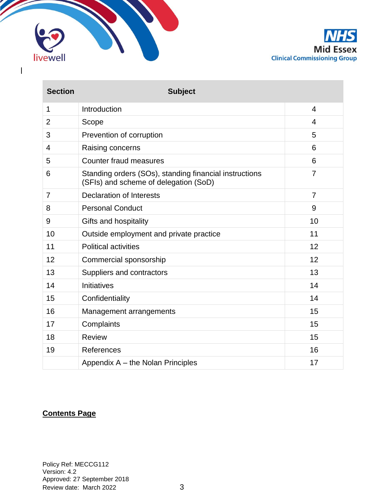

 $\mathbf{I}$ 



| <b>Section</b> | <b>Subject</b>                                                                                  |                |
|----------------|-------------------------------------------------------------------------------------------------|----------------|
| 1              | Introduction                                                                                    | 4              |
| $\overline{2}$ | Scope                                                                                           | 4              |
| 3              | Prevention of corruption                                                                        | 5              |
| 4              | Raising concerns                                                                                | 6              |
| 5              | <b>Counter fraud measures</b>                                                                   | 6              |
| 6              | Standing orders (SOs), standing financial instructions<br>(SFIs) and scheme of delegation (SoD) | $\overline{7}$ |
| $\overline{7}$ | <b>Declaration of Interests</b>                                                                 | $\overline{7}$ |
| 8              | <b>Personal Conduct</b>                                                                         | 9              |
| 9              | Gifts and hospitality                                                                           | 10             |
| 10             | Outside employment and private practice                                                         | 11             |
| 11             | <b>Political activities</b>                                                                     | 12             |
| 12             | Commercial sponsorship                                                                          | 12             |
| 13             | Suppliers and contractors                                                                       | 13             |
| 14             | Initiatives                                                                                     | 14             |
| 15             | Confidentiality                                                                                 | 14             |
| 16             | Management arrangements                                                                         | 15             |
| 17             | Complaints                                                                                      | 15             |
| 18             | <b>Review</b>                                                                                   | 15             |
| 19             | References                                                                                      | 16             |
|                | Appendix A – the Nolan Principles                                                               | 17             |

# **Contents Page**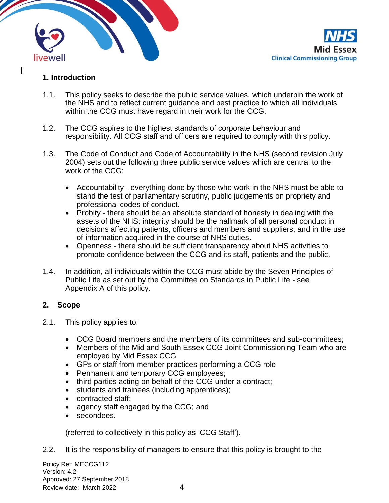



# **1. Introduction**

- 1.1. This policy seeks to describe the public service values, which underpin the work of the NHS and to reflect current guidance and best practice to which all individuals within the CCG must have regard in their work for the CCG.
- 1.2. The CCG aspires to the highest standards of corporate behaviour and responsibility. All CCG staff and officers are required to comply with this policy.
- 1.3. The Code of Conduct and Code of Accountability in the NHS (second revision July 2004) sets out the following three public service values which are central to the work of the CCG:
	- Accountability everything done by those who work in the NHS must be able to stand the test of parliamentary scrutiny, public judgements on propriety and professional codes of conduct.
	- Probity there should be an absolute standard of honesty in dealing with the assets of the NHS: integrity should be the hallmark of all personal conduct in decisions affecting patients, officers and members and suppliers, and in the use of information acquired in the course of NHS duties.
	- Openness there should be sufficient transparency about NHS activities to promote confidence between the CCG and its staff, patients and the public.
- 1.4. In addition, all individuals within the CCG must abide by the Seven Principles of Public Life as set out by the Committee on Standards in Public Life - see Appendix A of this policy.

## **2. Scope**

- 2.1. This policy applies to:
	- CCG Board members and the members of its committees and sub-committees;
	- Members of the Mid and South Essex CCG Joint Commissioning Team who are employed by Mid Essex CCG
	- GPs or staff from member practices performing a CCG role
	- Permanent and temporary CCG employees;
	- third parties acting on behalf of the CCG under a contract;
	- students and trainees (including apprentices);
	- contracted staff;
	- agency staff engaged by the CCG; and
	- secondees.

(referred to collectively in this policy as 'CCG Staff').

2.2. It is the responsibility of managers to ensure that this policy is brought to the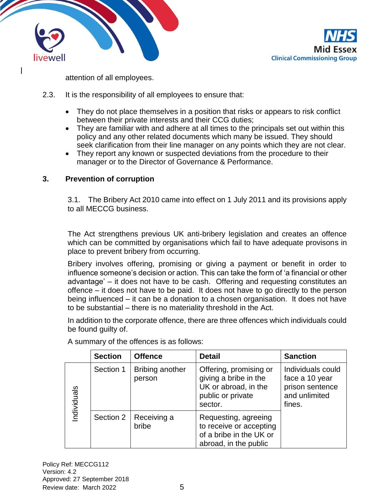



attention of all employees.

- 2.3. It is the responsibility of all employees to ensure that:
	- They do not place themselves in a position that risks or appears to risk conflict between their private interests and their CCG duties;
	- They are familiar with and adhere at all times to the principals set out within this policy and any other related documents which many be issued. They should seek clarification from their line manager on any points which they are not clear.
	- They report any known or suspected deviations from the procedure to their manager or to the Director of Governance & Performance.

#### **3. Prevention of corruption**

3.1. The Bribery Act 2010 came into effect on 1 July 2011 and its provisions apply to all MECCG business.

The Act strengthens previous UK anti-bribery legislation and creates an offence which can be committed by organisations which fail to have adequate provisons in place to prevent bribery from occurring.

Bribery involves offering, promising or giving a payment or benefit in order to influence someone's decision or action. This can take the form of 'a financial or other advantage' – it does not have to be cash. Offering and requesting constitutes an offence – it does not have to be paid. It does not have to go directly to the person being influenced – it can be a donation to a chosen organisation. It does not have to be substantial – there is no materiality threshold in the Act.

In addition to the corporate offence, there are three offences which individuals could be found guilty of.

|             | <b>Section</b> | <b>Offence</b>            | <b>Detail</b>                                                                                           | <b>Sanction</b>                                                                   |
|-------------|----------------|---------------------------|---------------------------------------------------------------------------------------------------------|-----------------------------------------------------------------------------------|
| Individuals | Section 1      | Bribing another<br>person | Offering, promising or<br>giving a bribe in the<br>UK or abroad, in the<br>public or private<br>sector. | Individuals could<br>face a 10 year<br>prison sentence<br>and unlimited<br>fines. |
|             | Section 2      | Receiving a<br>bribe      | Requesting, agreeing<br>to receive or accepting<br>of a bribe in the UK or<br>abroad, in the public     |                                                                                   |

A summary of the offences is as follows: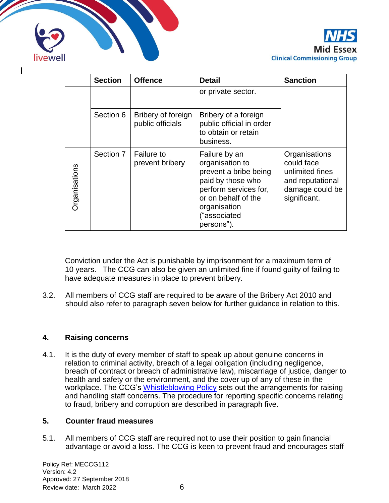



|                      | <b>Section</b> | <b>Offence</b>                         | <b>Detail</b>                                                                                                                                                                | <b>Sanction</b>                                                                                       |
|----------------------|----------------|----------------------------------------|------------------------------------------------------------------------------------------------------------------------------------------------------------------------------|-------------------------------------------------------------------------------------------------------|
|                      |                |                                        | or private sector.                                                                                                                                                           |                                                                                                       |
|                      | Section 6      | Bribery of foreign<br>public officials | Bribery of a foreign<br>public official in order<br>to obtain or retain<br>business.                                                                                         |                                                                                                       |
| <b>Organisations</b> | Section 7      | <b>Failure to</b><br>prevent bribery   | Failure by an<br>organisation to<br>prevent a bribe being<br>paid by those who<br>perform services for,<br>or on behalf of the<br>organisation<br>("associated<br>persons"). | Organisations<br>could face<br>unlimited fines<br>and reputational<br>damage could be<br>significant. |

Conviction under the Act is punishable by imprisonment for a maximum term of 10 years. The CCG can also be given an unlimited fine if found guilty of failing to have adequate measures in place to prevent bribery.

3.2. All members of CCG staff are required to be aware of the Bribery Act 2010 and should also refer to paragraph seven below for further guidance in relation to this.

## **4. Raising concerns**

4.1. It is the duty of every member of staff to speak up about genuine concerns in relation to criminal activity, breach of a legal obligation (including negligence, breach of contract or breach of administrative law), miscarriage of justice, danger to health and safety or the environment, and the cover up of any of these in the workplace. The CCG's [Whistleblowing Policy](http://midessexccg.nhs.uk/about-us/the-library/policy-library/corporate-policies/1961-meccg012-whistleblowing-policy/file) sets out the arrangements for raising and handling staff concerns. The procedure for reporting specific concerns relating to fraud, bribery and corruption are described in paragraph five.

## **5. Counter fraud measures**

5.1. All members of CCG staff are required not to use their position to gain financial advantage or avoid a loss. The CCG is keen to prevent fraud and encourages staff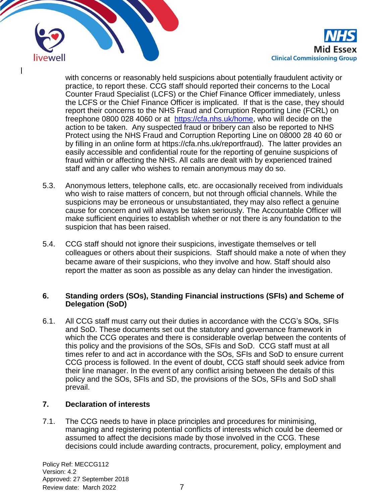

with concerns or reasonably held suspicions about potentially fraudulent activity or practice, to report these. CCG staff should reported their concerns to the Local Counter Fraud Specialist (LCFS) or the Chief Finance Officer immediately, unless the LCFS or the Chief Finance Officer is implicated. If that is the case, they should report their concerns to the NHS Fraud and Corruption Reporting Line (FCRL) on freephone 0800 028 4060 or at [https://cfa.nhs.uk/home,](https://cfa.nhs.uk/home) who will decide on the action to be taken. Any suspected fraud or bribery can also be reported to NHS Protect using the NHS Fraud and Corruption Reporting Line on 08000 28 40 60 or by filling in an online form at https://cfa.nhs.uk/reportfraud). The latter provides an easily accessible and confidential route for the reporting of genuine suspicions of fraud within or affecting the NHS. All calls are dealt with by experienced trained staff and any caller who wishes to remain anonymous may do so.

- 5.3. Anonymous letters, telephone calls, etc. are occasionally received from individuals who wish to raise matters of concern, but not through official channels. While the suspicions may be erroneous or unsubstantiated, they may also reflect a genuine cause for concern and will always be taken seriously. The Accountable Officer will make sufficient enquiries to establish whether or not there is any foundation to the suspicion that has been raised.
- 5.4. CCG staff should not ignore their suspicions, investigate themselves or tell colleagues or others about their suspicions. Staff should make a note of when they became aware of their suspicions, who they involve and how. Staff should also report the matter as soon as possible as any delay can hinder the investigation.

## **6. Standing orders (SOs), Standing Financial instructions (SFIs) and Scheme of Delegation (SoD)**

6.1. All CCG staff must carry out their duties in accordance with the CCG's SOs, SFIs and SoD. These documents set out the statutory and governance framework in which the CCG operates and there is considerable overlap between the contents of this policy and the provisions of the SOs, SFIs and SoD. CCG staff must at all times refer to and act in accordance with the SOs, SFIs and SoD to ensure current CCG process is followed. In the event of doubt, CCG staff should seek advice from their line manager. In the event of any conflict arising between the details of this policy and the SOs, SFIs and SD, the provisions of the SOs, SFIs and SoD shall prevail.

## **7. Declaration of interests**

7.1. The CCG needs to have in place principles and procedures for minimising, managing and registering potential conflicts of interests which could be deemed or assumed to affect the decisions made by those involved in the CCG. These decisions could include awarding contracts, procurement, policy, employment and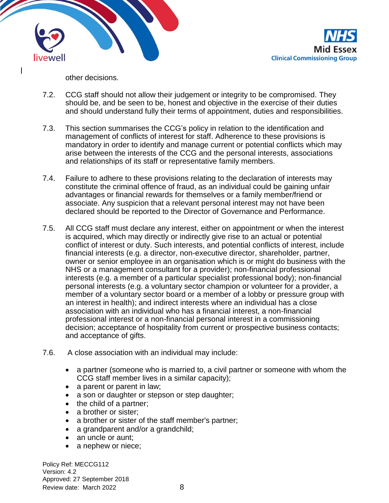

other decisions.

- 7.2. CCG staff should not allow their judgement or integrity to be compromised. They should be, and be seen to be, honest and objective in the exercise of their duties and should understand fully their terms of appointment, duties and responsibilities.
- 7.3. This section summarises the CCG's policy in relation to the identification and management of conflicts of interest for staff. Adherence to these provisions is mandatory in order to identify and manage current or potential conflicts which may arise between the interests of the CCG and the personal interests, associations and relationships of its staff or representative family members.
- 7.4. Failure to adhere to these provisions relating to the declaration of interests may constitute the criminal offence of fraud, as an individual could be gaining unfair advantages or financial rewards for themselves or a family member/friend or associate. Any suspicion that a relevant personal interest may not have been declared should be reported to the Director of Governance and Performance.
- 7.5. All CCG staff must declare any interest, either on appointment or when the interest is acquired, which may directly or indirectly give rise to an actual or potential conflict of interest or duty. Such interests, and potential conflicts of interest, include financial interests (e.g. a director, non-executive director, shareholder, partner, owner or senior employee in an organisation which is or might do business with the NHS or a management consultant for a provider); non-financial professional interests (e.g. a member of a particular specialist professional body); non-financial personal interests (e.g. a voluntary sector champion or volunteer for a provider, a member of a voluntary sector board or a member of a lobby or pressure group with an interest in health); and indirect interests where an individual has a close association with an individual who has a financial interest, a non-financial professional interest or a non-financial personal interest in a commissioning decision; acceptance of hospitality from current or prospective business contacts; and acceptance of gifts.
- 7.6. A close association with an individual may include:
	- a partner (someone who is married to, a civil partner or someone with whom the CCG staff member lives in a similar capacity);
	- a parent or parent in law;
	- a son or daughter or stepson or step daughter;
	- the child of a partner;
	- a brother or sister;
	- a brother or sister of the staff member's partner;
	- a grandparent and/or a grandchild;
	- an uncle or aunt:
	- a nephew or niece;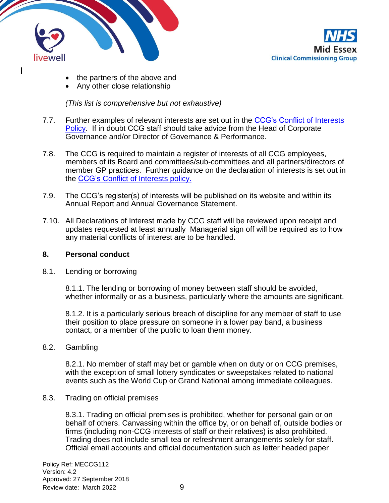



- the partners of the above and
- Any other close relationship

*(This list is comprehensive but not exhaustive)*

- 7.7. Further examples of relevant interests are set out in the [CCG's Conflict](http://midessexccg.nhs.uk/about-us/the-library/policy-library/corporate-policies) of Interests [Policy.](http://midessexccg.nhs.uk/about-us/the-library/policy-library/corporate-policies) If in doubt CCG staff should take advice from the Head of Corporate Governance and/or Director of Governance & Performance.
- 7.8. The CCG is required to maintain a register of interests of all CCG employees, members of its Board and committees/sub-committees and all partners/directors of member GP practices. Further guidance on the declaration of interests is set out in the [CCG's Conflict of Interests policy.](http://midessexccg.nhs.uk/about-us/the-library/policy-library/corporate-policies/1984-meccg003-conflicts-of-interest-policy/file)
- 7.9. The CCG's register(s) of interests will be published on its website and within its Annual Report and Annual Governance Statement.
- 7.10. All Declarations of Interest made by CCG staff will be reviewed upon receipt and updates requested at least annually Managerial sign off will be required as to how any material conflicts of interest are to be handled.

#### **8. Personal conduct**

8.1. Lending or borrowing

8.1.1. The lending or borrowing of money between staff should be avoided, whether informally or as a business, particularly where the amounts are significant.

8.1.2. It is a particularly serious breach of discipline for any member of staff to use their position to place pressure on someone in a lower pay band, a business contact, or a member of the public to loan them money.

8.2. Gambling

8.2.1. No member of staff may bet or gamble when on duty or on CCG premises, with the exception of small lottery syndicates or sweepstakes related to national events such as the World Cup or Grand National among immediate colleagues.

8.3. Trading on official premises

8.3.1. Trading on official premises is prohibited, whether for personal gain or on behalf of others. Canvassing within the office by, or on behalf of, outside bodies or firms (including non-CCG interests of staff or their relatives) is also prohibited. Trading does not include small tea or refreshment arrangements solely for staff. Official email accounts and official documentation such as letter headed paper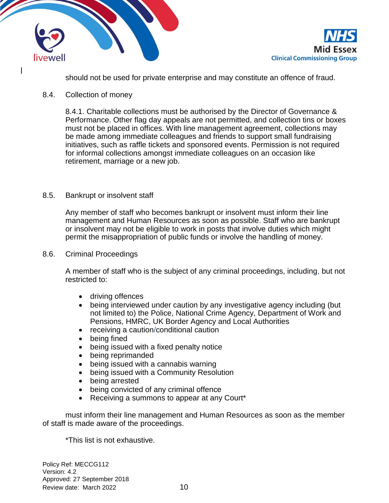



should not be used for private enterprise and may constitute an offence of fraud.

#### 8.4. Collection of money

8.4.1. Charitable collections must be authorised by the Director of Governance & Performance. Other flag day appeals are not permitted, and collection tins or boxes must not be placed in offices. With line management agreement, collections may be made among immediate colleagues and friends to support small fundraising initiatives, such as raffle tickets and sponsored events. Permission is not required for informal collections amongst immediate colleagues on an occasion like retirement, marriage or a new job.

#### 8.5. Bankrupt or insolvent staff

Any member of staff who becomes bankrupt or insolvent must inform their line management and Human Resources as soon as possible. Staff who are bankrupt or insolvent may not be eligible to work in posts that involve duties which might permit the misappropriation of public funds or involve the handling of money.

#### 8.6. Criminal Proceedings

A member of staff who is the subject of any criminal proceedings, including, but not restricted to:

- driving offences
- being interviewed under caution by any investigative agency including (but not limited to) the Police, National Crime Agency, Department of Work and Pensions, HMRC, UK Border Agency and Local Authorities
- receiving a caution/conditional caution
- being fined
- being issued with a fixed penalty notice
- being reprimanded
- being issued with a cannabis warning
- being issued with a Community Resolution
- being arrested
- being convicted of any criminal offence
- Receiving a summons to appear at any Court\*

must inform their line management and Human Resources as soon as the member of staff is made aware of the proceedings.

\*This list is not exhaustive.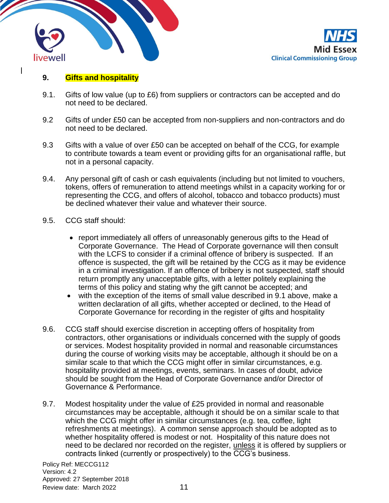



### **9. Gifts and hospitality**

- 9.1. Gifts of low value (up to £6) from suppliers or contractors can be accepted and do not need to be declared.
- 9.2 Gifts of under £50 can be accepted from non-suppliers and non-contractors and do not need to be declared.
- 9.3 Gifts with a value of over £50 can be accepted on behalf of the CCG, for example to contribute towards a team event or providing gifts for an organisational raffle, but not in a personal capacity.
- 9.4. Any personal gift of cash or cash equivalents (including but not limited to vouchers, tokens, offers of remuneration to attend meetings whilst in a capacity working for or representing the CCG, and offers of alcohol, tobacco and tobacco products) must be declined whatever their value and whatever their source.
- 9.5. CCG staff should:
	- report immediately all offers of unreasonably generous gifts to the Head of Corporate Governance. The Head of Corporate governance will then consult with the LCFS to consider if a criminal offence of bribery is suspected. If an offence is suspected, the gift will be retained by the CCG as it may be evidence in a criminal investigation. If an offence of bribery is not suspected, staff should return promptly any unacceptable gifts, with a letter politely explaining the terms of this policy and stating why the gift cannot be accepted; and
	- with the exception of the items of small value described in 9.1 above, make a written declaration of all gifts, whether accepted or declined, to the Head of Corporate Governance for recording in the register of gifts and hospitality
- 9.6. CCG staff should exercise discretion in accepting offers of hospitality from contractors, other organisations or individuals concerned with the supply of goods or services. Modest hospitality provided in normal and reasonable circumstances during the course of working visits may be acceptable, although it should be on a similar scale to that which the CCG might offer in similar circumstances, e.g. hospitality provided at meetings, events, seminars. In cases of doubt, advice should be sought from the Head of Corporate Governance and/or Director of Governance & Performance.
- 9.7. Modest hospitality under the value of £25 provided in normal and reasonable circumstances may be acceptable, although it should be on a similar scale to that which the CCG might offer in similar circumstances (e.g. tea, coffee, light refreshments at meetings). A common sense approach should be adopted as to whether hospitality offered is modest or not. Hospitality of this nature does not need to be declared nor recorded on the register, unless it is offered by suppliers or contracts linked (currently or prospectively) to the CCG's business.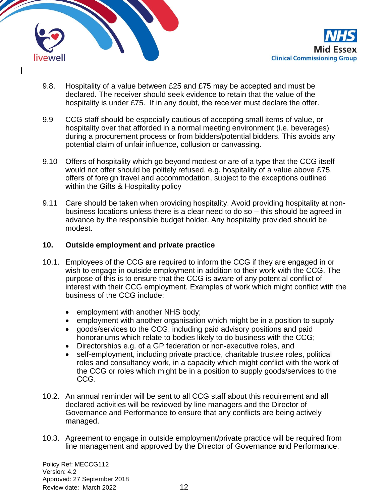

- 9.8. Hospitality of a value between £25 and £75 may be accepted and must be declared. The receiver should seek evidence to retain that the value of the hospitality is under £75. If in any doubt, the receiver must declare the offer.
- 9.9 CCG staff should be especially cautious of accepting small items of value, or hospitality over that afforded in a normal meeting environment (i.e. beverages) during a procurement process or from bidders/potential bidders. This avoids any potential claim of unfair influence, collusion or canvassing.
- 9.10 Offers of hospitality which go beyond modest or are of a type that the CCG itself would not offer should be politely refused, e.g. hospitality of a value above £75, offers of foreign travel and accommodation, subject to the exceptions outlined within the Gifts & Hospitality policy
- 9.11 Care should be taken when providing hospitality. Avoid providing hospitality at nonbusiness locations unless there is a clear need to do so – this should be agreed in advance by the responsible budget holder. Any hospitality provided should be modest.

#### **10. Outside employment and private practice**

- 10.1. Employees of the CCG are required to inform the CCG if they are engaged in or wish to engage in outside employment in addition to their work with the CCG. The purpose of this is to ensure that the CCG is aware of any potential conflict of interest with their CCG employment. Examples of work which might conflict with the business of the CCG include:
	- employment with another NHS body;
	- employment with another organisation which might be in a position to supply
	- goods/services to the CCG, including paid advisory positions and paid honorariums which relate to bodies likely to do business with the CCG;
	- Directorships e.g. of a GP federation or non-executive roles, and
	- self-employment, including private practice, charitable trustee roles, political roles and consultancy work, in a capacity which might conflict with the work of the CCG or roles which might be in a position to supply goods/services to the CCG.
- 10.2. An annual reminder will be sent to all CCG staff about this requirement and all declared activities will be reviewed by line managers and the Director of Governance and Performance to ensure that any conflicts are being actively managed.
- 10.3. Agreement to engage in outside employment/private practice will be required from line management and approved by the Director of Governance and Performance.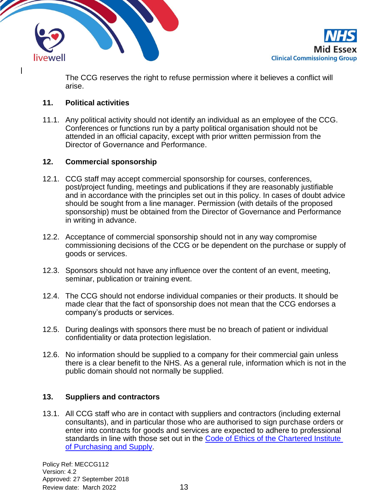



The CCG reserves the right to refuse permission where it believes a conflict will arise.

# **11. Political activities**

11.1. Any political activity should not identify an individual as an employee of the CCG. Conferences or functions run by a party political organisation should not be attended in an official capacity, except with prior written permission from the Director of Governance and Performance.

## **12. Commercial sponsorship**

- 12.1. CCG staff may accept commercial sponsorship for courses, conferences, post/project funding, meetings and publications if they are reasonably justifiable and in accordance with the principles set out in this policy. In cases of doubt advice should be sought from a line manager. Permission (with details of the proposed sponsorship) must be obtained from the Director of Governance and Performance in writing in advance.
- 12.2. Acceptance of commercial sponsorship should not in any way compromise commissioning decisions of the CCG or be dependent on the purchase or supply of goods or services.
- 12.3. Sponsors should not have any influence over the content of an event, meeting, seminar, publication or training event.
- 12.4. The CCG should not endorse individual companies or their products. It should be made clear that the fact of sponsorship does not mean that the CCG endorses a company's products or services.
- 12.5. During dealings with sponsors there must be no breach of patient or individual confidentiality or data protection legislation.
- 12.6. No information should be supplied to a company for their commercial gain unless there is a clear benefit to the NHS. As a general rule, information which is not in the public domain should not normally be supplied.

## **13. Suppliers and contractors**

13.1. All CCG staff who are in contact with suppliers and contractors (including external consultants), and in particular those who are authorised to sign purchase orders or enter into contracts for goods and services are expected to adhere to professional standards in line with those set out in the [Code of Ethics of the](https://www.cips.org/cips-for-business/performance/ethics/corporate-code-of-ethics/) Chartered Institute [of Purchasing and Supply.](https://www.cips.org/cips-for-business/performance/ethics/corporate-code-of-ethics/)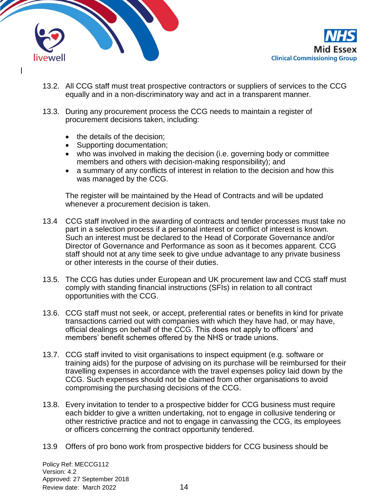



- 13.2. All CCG staff must treat prospective contractors or suppliers of services to the CCG equally and in a non-discriminatory way and act in a transparent manner.
- 13.3. During any procurement process the CCG needs to maintain a register of procurement decisions taken, including:
	- the details of the decision;
	- Supporting documentation;
	- who was involved in making the decision (i.e. governing body or committee members and others with decision-making responsibility); and
	- a summary of any conflicts of interest in relation to the decision and how this was managed by the CCG.

The register will be maintained by the Head of Contracts and will be updated whenever a procurement decision is taken.

- 13.4 CCG staff involved in the awarding of contracts and tender processes must take no part in a selection process if a personal interest or conflict of interest is known. Such an interest must be declared to the Head of Corporate Governance and/or Director of Governance and Performance as soon as it becomes apparent. CCG staff should not at any time seek to give undue advantage to any private business or other interests in the course of their duties.
- 13.5. The CCG has duties under European and UK procurement law and CCG staff must comply with standing financial instructions (SFIs) in relation to all contract opportunities with the CCG.
- 13.6. CCG staff must not seek, or accept, preferential rates or benefits in kind for private transactions carried out with companies with which they have had, or may have, official dealings on behalf of the CCG. This does not apply to officers' and members' benefit schemes offered by the NHS or trade unions.
- 13.7. CCG staff invited to visit organisations to inspect equipment (e.g. software or training aids) for the purpose of advising on its purchase will be reimbursed for their travelling expenses in accordance with the travel expenses policy laid down by the CCG. Such expenses should not be claimed from other organisations to avoid compromising the purchasing decisions of the CCG.
- 13.8. Every invitation to tender to a prospective bidder for CCG business must require each bidder to give a written undertaking, not to engage in collusive tendering or other restrictive practice and not to engage in canvassing the CCG, its employees or officers concerning the contract opportunity tendered.
- 13.9 Offers of pro bono work from prospective bidders for CCG business should be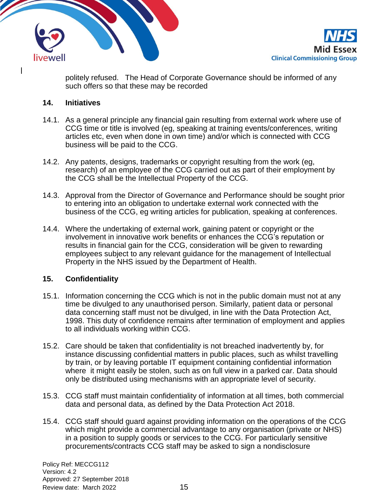



politely refused. The Head of Corporate Governance should be informed of any such offers so that these may be recorded

### **14. Initiatives**

- 14.1. As a general principle any financial gain resulting from external work where use of CCG time or title is involved (eg, speaking at training events/conferences, writing articles etc, even when done in own time) and/or which is connected with CCG business will be paid to the CCG.
- 14.2. Any patents, designs, trademarks or copyright resulting from the work (eg, research) of an employee of the CCG carried out as part of their employment by the CCG shall be the Intellectual Property of the CCG.
- 14.3. Approval from the Director of Governance and Performance should be sought prior to entering into an obligation to undertake external work connected with the business of the CCG, eg writing articles for publication, speaking at conferences.
- 14.4. Where the undertaking of external work, gaining patent or copyright or the involvement in innovative work benefits or enhances the CCG's reputation or results in financial gain for the CCG, consideration will be given to rewarding employees subject to any relevant guidance for the management of Intellectual Property in the NHS issued by the Department of Health.

## **15. Confidentiality**

- 15.1. Information concerning the CCG which is not in the public domain must not at any time be divulged to any unauthorised person. Similarly, patient data or personal data concerning staff must not be divulged, in line with the Data Protection Act, 1998. This duty of confidence remains after termination of employment and applies to all individuals working within CCG.
- 15.2. Care should be taken that confidentiality is not breached inadvertently by, for instance discussing confidential matters in public places, such as whilst travelling by train, or by leaving portable IT equipment containing confidential information where it might easily be stolen, such as on full view in a parked car. Data should only be distributed using mechanisms with an appropriate level of security.
- 15.3. CCG staff must maintain confidentiality of information at all times, both commercial data and personal data, as defined by the Data Protection Act 2018.
- 15.4. CCG staff should guard against providing information on the operations of the CCG which might provide a commercial advantage to any organisation (private or NHS) in a position to supply goods or services to the CCG. For particularly sensitive procurements/contracts CCG staff may be asked to sign a nondisclosure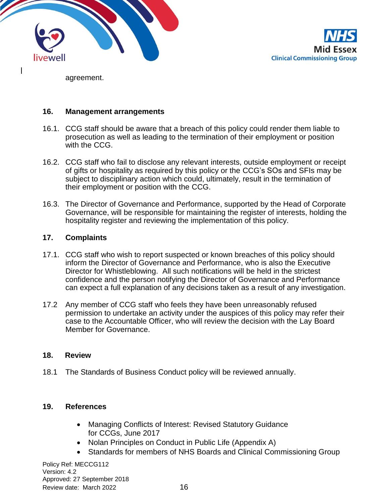



agreement.

#### **16. Management arrangements**

- 16.1. CCG staff should be aware that a breach of this policy could render them liable to prosecution as well as leading to the termination of their employment or position with the CCG.
- 16.2. CCG staff who fail to disclose any relevant interests, outside employment or receipt of gifts or hospitality as required by this policy or the CCG's SOs and SFIs may be subject to disciplinary action which could, ultimately, result in the termination of their employment or position with the CCG.
- 16.3. The Director of Governance and Performance, supported by the Head of Corporate Governance, will be responsible for maintaining the register of interests, holding the hospitality register and reviewing the implementation of this policy.

## **17. Complaints**

- 17.1. CCG staff who wish to report suspected or known breaches of this policy should inform the Director of Governance and Performance, who is also the Executive Director for Whistleblowing. All such notifications will be held in the strictest confidence and the person notifying the Director of Governance and Performance can expect a full explanation of any decisions taken as a result of any investigation.
- 17.2 Any member of CCG staff who feels they have been unreasonably refused permission to undertake an activity under the auspices of this policy may refer their case to the Accountable Officer, who will review the decision with the Lay Board Member for Governance.

#### **18. Review**

18.1 The Standards of Business Conduct policy will be reviewed annually.

## **19. References**

- Managing Conflicts of Interest: Revised Statutory Guidance for CCGs, June 2017
- Nolan Principles on Conduct in Public Life (Appendix A)
- Standards for members of NHS Boards and Clinical Commissioning Group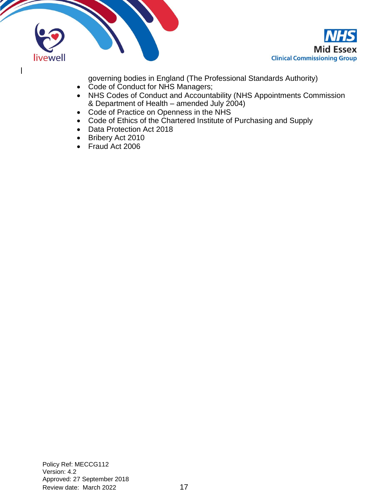



governing bodies in England (The Professional Standards Authority)

- Code of Conduct for NHS Managers;
- NHS Codes of Conduct and Accountability (NHS Appointments Commission & Department of Health – amended July  $2004$ )
- Code of Practice on Openness in the NHS
- Code of Ethics of the Chartered Institute of Purchasing and Supply
- Data Protection Act 2018
- Bribery Act 2010
- Fraud Act 2006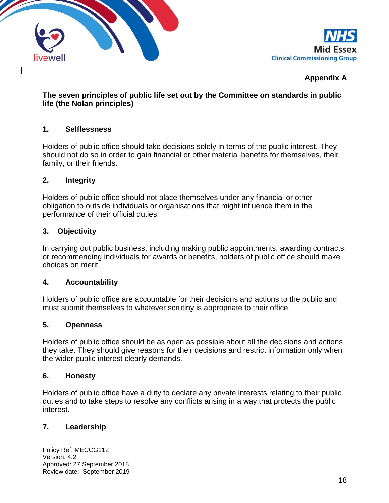



# **Appendix A**

## **The seven principles of public life set out by the Committee on standards in public life (the Nolan principles)**

#### **1. Selflessness**

Holders of public office should take decisions solely in terms of the public interest. They should not do so in order to gain financial or other material benefits for themselves, their family, or their friends.

#### **2. Integrity**

Holders of public office should not place themselves under any financial or other obligation to outside individuals or organisations that might influence them in the performance of their official duties.

#### **3. Objectivity**

In carrying out public business, including making public appointments, awarding contracts, or recommending individuals for awards or benefits, holders of public office should make choices on merit.

#### **4. Accountability**

Holders of public office are accountable for their decisions and actions to the public and must submit themselves to whatever scrutiny is appropriate to their office.

#### **5. Openness**

Holders of public office should be as open as possible about all the decisions and actions they take. They should give reasons for their decisions and restrict information only when the wider public interest clearly demands.

#### **6. Honesty**

Holders of public office have a duty to declare any private interests relating to their public duties and to take steps to resolve any conflicts arising in a way that protects the public interest.

## **7. Leadership**

Policy Ref: MECCG112 Version: 4.2 Approved: 27 September 2018 Review date: September 2019